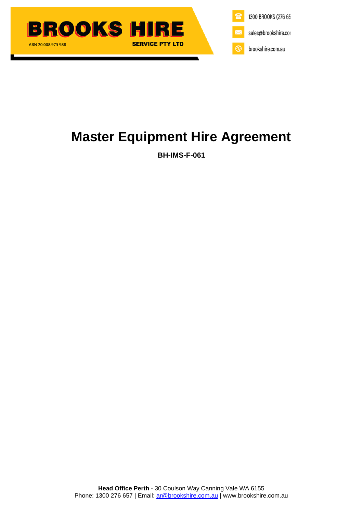



# **Master Equipment Hire Agreement**

**BH-IMS-F-061**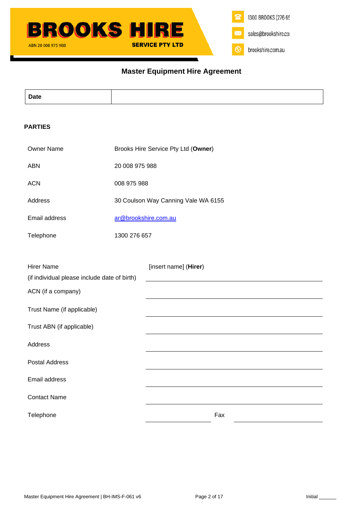# **Master Equipment Hire Agreement**

| <b>Date</b> |  |
|-------------|--|
|             |  |
|             |  |
|             |  |

# **PARTIES**

| <b>Owner Name</b>                            | Brooks Hire Service Pty Ltd (Owner) |                       |  |
|----------------------------------------------|-------------------------------------|-----------------------|--|
| <b>ABN</b>                                   | 20 008 975 988                      |                       |  |
| <b>ACN</b>                                   | 008 975 988                         |                       |  |
| Address                                      | 30 Coulson Way Canning Vale WA 6155 |                       |  |
| Email address                                | ar@brookshire.com.au                |                       |  |
| Telephone                                    | 1300 276 657                        |                       |  |
|                                              |                                     |                       |  |
| <b>Hirer Name</b>                            |                                     | [insert name] (Hirer) |  |
| (if individual please include date of birth) |                                     |                       |  |
| ACN (if a company)                           |                                     |                       |  |
| Trust Name (if applicable)                   |                                     |                       |  |
| Trust ABN (if applicable)                    |                                     |                       |  |
| Address                                      |                                     |                       |  |
| <b>Postal Address</b>                        |                                     |                       |  |
| Email address                                |                                     |                       |  |
| <b>Contact Name</b>                          |                                     |                       |  |
| Telephone                                    |                                     | Fax                   |  |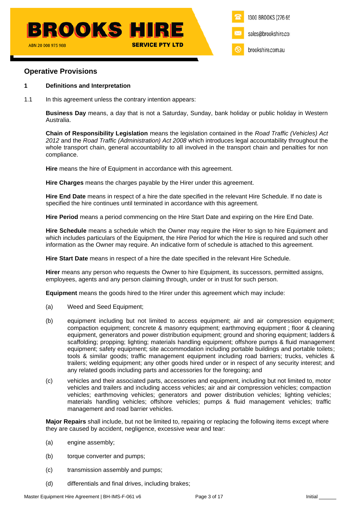# **Operative Provisions**

## **1 Definitions and Interpretation**

1.1 In this agreement unless the contrary intention appears:

**Business Day** means, a day that is not a Saturday, Sunday, bank holiday or public holiday in Western Australia.

**Chain of Responsibility Legislation** means the legislation contained in the *Road Traffic (Vehicles) Act 2012* and the *Road Traffic (Administration) Act 2008* which introduces legal accountability throughout the whole transport chain, general accountability to all involved in the transport chain and penalties for non compliance.

**Hire** means the hire of Equipment in accordance with this agreement.

**Hire Charges** means the charges payable by the Hirer under this agreement.

**Hire End Date** means in respect of a hire the date specified in the relevant Hire Schedule. If no date is specified the hire continues until terminated in accordance with this agreement.

**Hire Period** means a period commencing on the Hire Start Date and expiring on the Hire End Date.

**Hire Schedule** means a schedule which the Owner may require the Hirer to sign to hire Equipment and which includes particulars of the Equipment, the Hire Period for which the Hire is required and such other information as the Owner may require. An indicative form of schedule is attached to this agreement.

**Hire Start Date** means in respect of a hire the date specified in the relevant Hire Schedule.

**Hirer** means any person who requests the Owner to hire Equipment, its successors, permitted assigns, employees, agents and any person claiming through, under or in trust for such person.

**Equipment** means the goods hired to the Hirer under this agreement which may include:

- (a) Weed and Seed Equipment;
- (b) equipment including but not limited to access equipment; air and air compression equipment; compaction equipment; concrete & masonry equipment; earthmoving equipment ; floor & cleaning equipment, generators and power distribution equipment; ground and shoring equipment; ladders & scaffolding; propping; lighting; materials handling equipment; offshore pumps & fluid management equipment; safety equipment; site accommodation including portable buildings and portable toilets; tools & similar goods; traffic management equipment including road barriers; trucks, vehicles & trailers; welding equipment; any other goods hired under or in respect of any security interest; and any related goods including parts and accessories for the foregoing; and
- (c) vehicles and their associated parts, accessories and equipment, including but not limited to, motor vehicles and trailers and including access vehicles; air and air compression vehicles; compaction vehicles; earthmoving vehicles; generators and power distribution vehicles; lighting vehicles; materials handling vehicles; offshore vehicles; pumps & fluid management vehicles; traffic management and road barrier vehicles.

**Major Repairs** shall include, but not be limited to, repairing or replacing the following items except where they are caused by accident, negligence, excessive wear and tear:

- (a) engine assembly;
- (b) torque converter and pumps;
- (c) transmission assembly and pumps;
- (d) differentials and final drives, including brakes;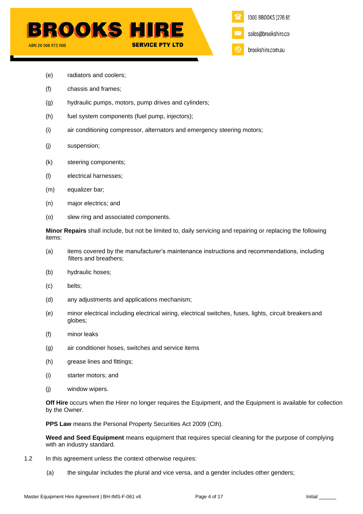

- (e) radiators and coolers;
- (f) chassis and frames;
- (g) hydraulic pumps, motors, pump drives and cylinders;
- (h) fuel system components (fuel pump, injectors);
- (i) air conditioning compressor, alternators and emergency steering motors;
- (j) suspension;
- (k) steering components;
- (l) electrical harnesses;
- (m) equalizer bar;
- (n) major electrics; and
- (o) slew ring and associated components.

**Minor Repairs** shall include, but not be limited to, daily servicing and repairing or replacing the following items:

- (a) items covered by the manufacturer's maintenance instructions and recommendations, including filters and breathers;
- (b) hydraulic hoses;
- (c) belts;
- (d) any adjustments and applications mechanism;
- (e) minor electrical including electrical wiring, electrical switches, fuses, lights, circuit breakersand globes;
- (f) minor leaks
- (g) air conditioner hoses, switches and service items
- (h) grease lines and fittings;
- (i) starter motors; and
- (j) window wipers.

**Off Hire** occurs when the Hirer no longer requires the Equipment, and the Equipment is available for collection by the Owner.

**PPS Law** means the Personal Property Securities Act 2009 (Cth).

**Weed and Seed Equipment** means equipment that requires special cleaning for the purpose of complying with an industry standard.

- 1.2 In this agreement unless the context otherwise requires:
	- (a) the singular includes the plural and vice versa, and a gender includes other genders;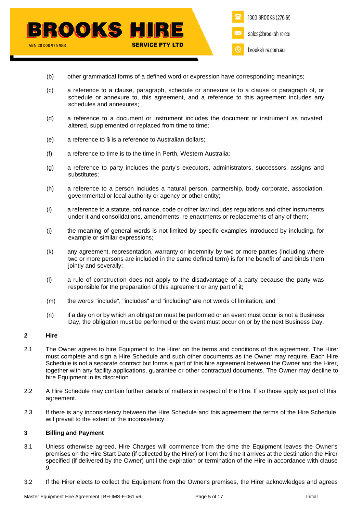- (b) other grammatical forms of a defined word or expression have corresponding meanings;
- (c) a reference to a clause, paragraph, schedule or annexure is to a clause or paragraph of, or schedule or annexure to, this agreement, and a reference to this agreement includes any schedules and annexures;
- (d) a reference to a document or instrument includes the document or instrument as novated, altered, supplemented or replaced from time to time;
- (e) a reference to \$ is a reference to Australian dollars;
- (f) a reference to time is to the time in Perth, Western Australia;
- (g) a reference to party includes the party's executors, administrators, successors, assigns and substitutes;
- (h) a reference to a person includes a natural person, partnership, body corporate, association, governmental or local authority or agency or other entity;
- (i) a reference to a statute, ordinance, code or other law includes regulations and other instruments under it and consolidations, amendments, re enactments or replacements of any of them;
- (j) the meaning of general words is not limited by specific examples introduced by including, for example or similar expressions;
- (k) any agreement, representation, warranty or indemnity by two or more parties (including where two or more persons are included in the same defined term) is for the benefit of and binds them jointly and severally;
- (l) a rule of construction does not apply to the disadvantage of a party because the party was responsible for the preparation of this agreement or any part of it;
- (m) the words "include", "includes" and "including" are not words of limitation; and
- (n) if a day on or by which an obligation must be performed or an event must occur is not a Business Day, the obligation must be performed or the event must occur on or by the next Business Day.

# **2 Hire**

- 2.1 The Owner agrees to hire Equipment to the Hirer on the terms and conditions of this agreement. The Hirer must complete and sign a Hire Schedule and such other documents as the Owner may require. Each Hire Schedule is not a separate contract but forms a part of this hire agreement between the Owner and the Hirer, together with any facility applications, guarantee or other contractual documents. The Owner may decline to hire Equipment in its discretion.
- 2.2 A Hire Schedule may contain further details of matters in respect of the Hire. If so those apply as part of this agreement.
- 2.3 If there is any inconsistency between the Hire Schedule and this agreement the terms of the Hire Schedule will prevail to the extent of the inconsistency.

# **3 Billing and Payment**

- 3.1 Unless otherwise agreed, Hire Charges will commence from the time the Equipment leaves the Owner's premises on the Hire Start Date (if collected by the Hirer) or from the time it arrives at the destination the Hirer specified (if delivered by the Owner) until the expiration or termination of the Hire in accordance with clause [9.](#page-11-0)
- 3.2 If the Hirer elects to collect the Equipment from the Owner's premises, the Hirer acknowledges and agrees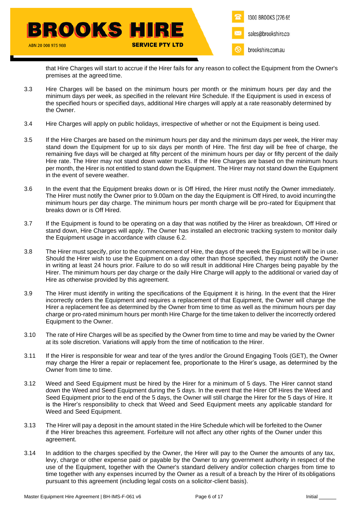

that Hire Charges will start to accrue if the Hirer fails for any reason to collect the Equipment from the Owner's premises at the agreed time.

- 3.3 Hire Charges will be based on the minimum hours per month or the minimum hours per day and the minimum days per week, as specified in the relevant Hire Schedule. If the Equipment is used in excess of the specified hours or specified days, additional Hire charges will apply at a rate reasonably determined by the Owner.
- 3.4 Hire Charges will apply on public holidays, irrespective of whether or not the Equipment is being used.
- 3.5 If the Hire Charges are based on the minimum hours per day and the minimum days per week, the Hirer may stand down the Equipment for up to six days per month of Hire. The first day will be free of charge, the remaining five days will be charged at fifty percent of the minimum hours per day or fifty percent of the daily Hire rate. The Hirer may not stand down water trucks. If the Hire Charges are based on the minimum hours per month, the Hirer is not entitled to stand down the Equipment. The Hirer may not stand down the Equipment in the event of severe weather.
- 3.6 In the event that the Equipment breaks down or is Off Hired, the Hirer must notify the Owner immediately. The Hirer must notify the Owner prior to 9.00am on the day the Equipment is Off Hired, to avoid incurringthe minimum hours per day charge. The minimum hours per month charge will be pro-rated for Equipment that breaks down or is Off Hired.
- 3.7 If the Equipment is found to be operating on a day that was notified by the Hirer as breakdown, Off Hired or stand down, Hire Charges will apply. The Owner has installed an electronic tracking system to monitor daily the Equipment usage in accordance with clause [6.2.](#page-9-0)
- 3.8 The Hirer must specify, prior to the commencement of Hire, the days of the week the Equipment will be in use. Should the Hirer wish to use the Equipment on a day other than those specified, they must notify the Owner in writing at least 24 hours prior. Failure to do so will result in additional Hire Charges being payable by the Hirer. The minimum hours per day charge or the daily Hire Charge will apply to the additional or varied day of Hire as otherwise provided by this agreement.
- 3.9 The Hirer must identify in writing the specifications of the Equipment it is hiring. In the event that the Hirer incorrectly orders the Equipment and requires a replacement of that Equipment, the Owner will charge the Hirer a replacement fee as determined by the Owner from time to time as well as the minimum hours per day charge or pro-rated minimum hours per month Hire Charge for the time taken to deliver the incorrectly ordered Equipment to the Owner.
- 3.10 The rate of Hire Charges will be as specified by the Owner from time to time and may be varied by the Owner at its sole discretion. Variations will apply from the time of notification to the Hirer.
- 3.11 If the Hirer is responsible for wear and tear of the tyres and/or the Ground Engaging Tools (GET), the Owner may charge the Hirer a repair or replacement fee, proportionate to the Hirer's usage, as determined by the Owner from time to time.
- 3.12 Weed and Seed Equipment must be hired by the Hirer for a minimum of 5 days. The Hirer cannot stand down the Weed and Seed Equipment during the 5 days. In the event that the Hirer Off Hires the Weed and Seed Equipment prior to the end of the 5 days, the Owner will still charge the Hirer for the 5 days of Hire. It is the Hirer's responsibility to check that Weed and Seed Equipment meets any applicable standard for Weed and Seed Equipment.
- 3.13 The Hirer will pay a deposit in the amount stated in the Hire Schedule which will be forfeited to the Owner if the Hirer breaches this agreement. Forfeiture will not affect any other rights of the Owner under this agreement.
- 3.14 In addition to the charges specified by the Owner, the Hirer will pay to the Owner the amounts of any tax, levy, charge or other expense paid or payable by the Owner to any government authority in respect of the use of the Equipment, together with the Owner's standard delivery and/or collection charges from time to time together with any expenses incurred by the Owner as a result of a breach by the Hirer of its obligations pursuant to this agreement (including legal costs on a solicitor-client basis).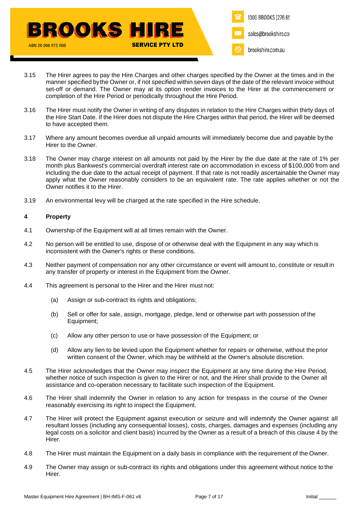

- 3.15 The Hirer agrees to pay the Hire Charges and other charges specified by the Owner at the times and in the manner specified bythe Owner or, if not specified within seven days of the date of the relevant invoice without set-off or demand. The Owner may at its option render invoices to the Hirer at the commencement or completion of the Hire Period or periodically throughout the Hire Period.
- 3.16 The Hirer must notify the Owner in writing of any disputes in relation to the Hire Charges within thirty days of the Hire Start Date. If the Hirer does not dispute the Hire Charges within that period, the Hirer will be deemed to have accepted them.
- 3.17 Where any amount becomes overdue all unpaid amounts will immediately become due and payable by the Hirer to the Owner.
- 3.18 The Owner may charge interest on all amounts not paid by the Hirer by the due date at the rate of 1% per month plus Bankwest's commercial overdraft interest rate on accommodation in excess of \$100,000 from and including the due date to the actual receipt of payment. If that rate is not readily ascertainable the Owner may apply what the Owner reasonably considers to be an equivalent rate. The rate applies whether or not the Owner notifies it to the Hirer.
- 3.19 An environmental levy will be charged at the rate specified in the Hire schedule.

# <span id="page-6-0"></span>**4 Property**

- 4.1 Ownership of the Equipment will at all times remain with the Owner.
- 4.2 No person will be entitled to use, dispose of or otherwise deal with the Equipment in any way which is inconsistent with the Owner's rights or these conditions.
- 4.3 Neither payment of compensation nor any other circumstance or event will amount to, constitute or result in any transfer of property or interest in the Equipment from the Owner.
- 4.4 This agreement is personal to the Hirer and the Hirer must not:
	- (a) Assign or sub-contract its rights and obligations;
	- (b) Sell or offer for sale, assign, mortgage, pledge, lend or otherwise part with possession of the Equipment;
	- (c) Allow any other person to use or have possession of the Equipment; or
	- (d) Allow any lien to be levied upon the Equipment whether for repairs or otherwise, without theprior written consent of the Owner, which may be withheld at the Owner's absolute discretion.
- 4.5 The Hirer acknowledges that the Owner may inspect the Equipment at any time during the Hire Period, whether notice of such inspection is given to the Hirer or not, and the Hirer shall provide to the Owner all assistance and co-operation necessary to facilitate such inspection of the Equipment.
- 4.6 The Hirer shall indemnify the Owner in relation to any action for trespass in the course of the Owner reasonably exercising its right to inspect the Equipment.
- 4.7 The Hirer will protect the Equipment against execution or seizure and will indemnify the Owner against all resultant losses (including any consequential losses), costs, charges, damages and expenses (including any legal costs on a solicitor and client basis) incurred by the Owner as a result of a breach of this clause [4](#page-6-0) by the Hirer.
- 4.8 The Hirer must maintain the Equipment on a daily basis in compliance with the requirement of the Owner.
- 4.9 The Owner may assign or sub-contract its rights and obligations under this agreement without notice to the Hirer.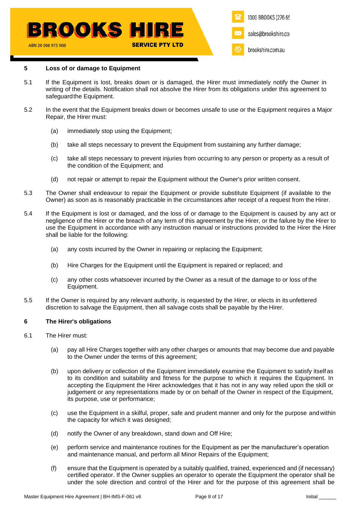## **5 Loss of or damage to Equipment**

- 5.1 If the Equipment is lost, breaks down or is damaged, the Hirer must immediately notify the Owner in writing of the details. Notification shall not absolve the Hirer from its obligations under this agreement to safeguardthe Equipment.
- 5.2 In the event that the Equipment breaks down or becomes unsafe to use or the Equipment requires a Major Repair, the Hirer must:
	- (a) immediately stop using the Equipment;
	- (b) take all steps necessary to prevent the Equipment from sustaining any further damage;
	- (c) take all steps necessary to prevent injuries from occurring to any person or property as a result of the condition of the Equipment; and
	- (d) not repair or attempt to repair the Equipment without the Owner's prior written consent.
- 5.3 The Owner shall endeavour to repair the Equipment or provide substitute Equipment (if available to the Owner) as soon as is reasonably practicable in the circumstances after receipt of a request from the Hirer.
- 5.4 If the Equipment is lost or damaged, and the loss of or damage to the Equipment is caused by any act or negligence of the Hirer or the breach of any term of this agreement by the Hirer, or the failure by the Hirer to use the Equipment in accordance with any instruction manual or instructions provided to the Hirer the Hirer shall be liable for the following:
	- (a) any costs incurred by the Owner in repairing or replacing the Equipment;
	- (b) Hire Charges for the Equipment until the Equipment is repaired or replaced; and
	- (c) any other costs whatsoever incurred by the Owner as a result of the damage to or loss of the Equipment.
- <span id="page-7-2"></span>5.5 If the Owner is required by any relevant authority, is requested by the Hirer, or elects in its unfettered discretion to salvage the Equipment, then all salvage costs shall be payable by the Hirer.

# <span id="page-7-1"></span>**6 The Hirer's obligations**

- <span id="page-7-0"></span>6.1 The Hirer must:
	- (a) pay all Hire Charges together with any other charges or amounts that may become due and payable to the Owner under the terms of this agreement;
	- (b) upon delivery or collection of the Equipment immediately examine the Equipment to satisfy itself as to its condition and suitability and fitness for the purpose to which it requires the Equipment. In accepting the Equipment the Hirer acknowledges that it has not in any way relied upon the skill or judgement or any representations made by or on behalf of the Owner in respect of the Equipment, its purpose, use or performance;
	- (c) use the Equipment in a skilful, proper, safe and prudent manner and only for the purpose and within the capacity for which it was designed;
	- (d) notify the Owner of any breakdown, stand down and Off Hire;
	- (e) perform service and maintenance routines for the Equipment as per the manufacturer's operation and maintenance manual, and perform all Minor Repairs of the Equipment;
	- (f) ensure that the Equipment is operated by a suitably qualified, trained, experienced and (if necessary) certified operator. If the Owner supplies an operator to operate the Equipment the operator shall be under the sole direction and control of the Hirer and for the purpose of this agreement shall be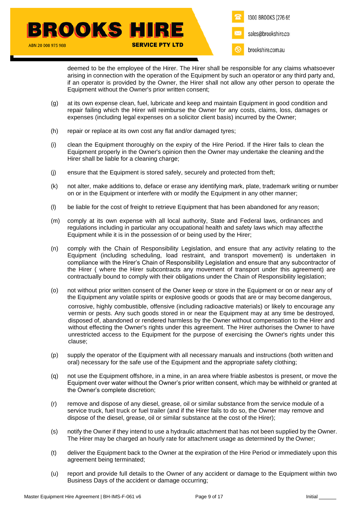

deemed to be the employee of the Hirer. The Hirer shall be responsible for any claims whatsoever arising in connection with the operation of the Equipment by such an operator or any third party and, if an operator is provided by the Owner, the Hirer shall not allow any other person to operate the Equipment without the Owner's prior written consent;

- (g) at its own expense clean, fuel, lubricate and keep and maintain Equipment in good condition and repair failing which the Hirer will reimburse the Owner for any costs, claims, loss, damages or expenses (including legal expenses on a solicitor client basis) incurred by the Owner;
- (h) repair or replace at its own cost any flat and/or damaged tyres;
- (i) clean the Equipment thoroughly on the expiry of the Hire Period. If the Hirer fails to clean the Equipment properly in the Owner's opinion then the Owner may undertake the cleaning and the Hirer shall be liable for a cleaning charge;
- (j) ensure that the Equipment is stored safely, securely and protected from theft;
- (k) not alter, make additions to, deface or erase any identifying mark, plate, trademark writing or number on or in the Equipment or interfere with or modify the Equipment in any other manner;
- (l) be liable for the cost of freight to retrieve Equipment that has been abandoned for any reason;
- (m) comply at its own expense with all local authority, State and Federal laws, ordinances and regulations including in particular any occupational health and safety laws which may affectthe Equipment while it is in the possession of or being used by the Hirer;
- (n) comply with the Chain of Responsibility Legislation, and ensure that any activity relating to the Equipment (including scheduling, load restraint, and transport movement) is undertaken in compliance with the Hirer's Chain of Responsibility Legislation and ensure that any subcontractor of the Hirer ( where the Hirer subcontracts any movement of transport under this agreement) are contractually bound to comply with their obligations under the Chain of Responsibility legislation;
- (o) not without prior written consent of the Owner keep or store in the Equipment or on or near any of the Equipment any volatile spirits or explosive goods or goods that are or may become dangerous, corrosive, highly combustible, offensive (including radioactive materials) or likely to encourage any vermin or pests. Any such goods stored in or near the Equipment may at any time be destroyed, disposed of, abandoned or rendered harmless by the Owner without compensation to the Hirer and without effecting the Owner's rights under this agreement. The Hirer authorises the Owner to have unrestricted access to the Equipment for the purpose of exercising the Owner's rights under this clause;
- (p) supply the operator of the Equipment with all necessary manuals and instructions (both written and oral) necessary for the safe use of the Equipment and the appropriate safety clothing;
- (q) not use the Equipment offshore, in a mine, in an area where friable asbestos is present, or move the Equipment over water without the Owner's prior written consent, which may be withheld or granted at the Owner's complete discretion;
- (r) remove and dispose of any diesel, grease, oil or similar substance from the service module of a service truck, fuel truck or fuel trailer (and if the Hirer fails to do so, the Owner may remove and dispose of the diesel, grease, oil or similar substance at the cost of the Hirer);
- <span id="page-8-0"></span>(s) notify the Owner if they intend to use a hydraulic attachment that has not been supplied by the Owner. The Hirer may be charged an hourly rate for attachment usage as determined by the Owner;
- (t) deliver the Equipment back to the Owner at the expiration of the Hire Period or immediately upon this agreement being terminated;
- (u) report and provide full details to the Owner of any accident or damage to the Equipment within two Business Days of the accident or damage occurring;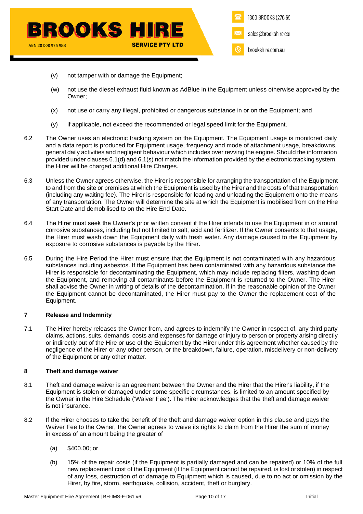

- (v) not tamper with or damage the Equipment;
- (w) not use the diesel exhaust fluid known as AdBlue in the Equipment unless otherwise approved by the Owner;
- (x) not use or carry any illegal, prohibited or dangerous substance in or on the Equipment; and
- (y) if applicable, not exceed the recommended or legal speed limit for the Equipment.
- <span id="page-9-0"></span>6.2 The Owner uses an electronic tracking system on the Equipment. The Equipment usage is monitored daily and a data report is produced for Equipment usage, frequency and mode of attachment usage, breakdowns, general daily activities and negligent behaviour which includes over revving the engine. Should the information provided under clauses [6.1\(d\)](#page-7-0) an[d 6.1\(s\)](#page-8-0) not match the information provided by the electronic tracking system, the Hirer will be charged additional Hire Charges.
- 6.3 Unless the Owner agrees otherwise, the Hirer is responsible for arranging the transportation of the Equipment to and from the site or premises at which the Equipment is used by the Hirer and the costs of that transportation (including any waiting fee). The Hirer is responsible for loading and unloading the Equipment onto the means of any transportation. The Owner will determine the site at which the Equipment is mobilised from on the Hire Start Date and demobilised to on the Hire End Date.
- 6.4 The Hirer must seek the Owner's prior written consent if the Hirer intends to use the Equipment in or around corrosive substances, including but not limited to salt, acid and fertilizer. If the Owner consents to that usage, the Hirer must wash down the Equipment daily with fresh water. Any damage caused to the Equipment by exposure to corrosive substances is payable by the Hirer.
- 6.5 During the Hire Period the Hirer must ensure that the Equipment is not contaminated with any hazardous substances including asbestos. If the Equipment has been contaminated with any hazardous substance the Hirer is responsible for decontaminating the Equipment, which may include replacing filters, washing down the Equipment, and removing all contaminants before the Equipment is returned to the Owner. The Hirer shall advise the Owner in writing of details of the decontamination. If in the reasonable opinion of the Owner the Equipment cannot be decontaminated, the Hirer must pay to the Owner the replacement cost of the Equipment.

# **7 Release and Indemnity**

7.1 The Hirer hereby releases the Owner from, and agrees to indemnify the Owner in respect of, any third party claims, actions, suits, demands, costs and expenses for damage or injury to person or property arising directly or indirectly out of the Hire or use of the Equipment by the Hirer under this agreement whether causedby the negligence of the Hirer or any other person, or the breakdown, failure, operation, misdelivery or non-delivery of the Equipment or any other matter.

# <span id="page-9-2"></span>**8 Theft and damage waiver**

- <span id="page-9-1"></span>8.1 Theft and damage waiver is an agreement between the Owner and the Hirer that the Hirer's liability, if the Equipment is stolen or damaged under some specific circumstances, is limited to an amount specified by the Owner in the Hire Schedule ('Waiver Fee'). The Hirer acknowledges that the theft and damage waiver is not insurance.
- 8.2 If the Hirer chooses to take the benefit of the theft and damage waiver option in this clause and pays the Waiver Fee to the Owner, the Owner agrees to waive its rights to claim from the Hirer the sum of money in excess of an amount being the greater of
	- (a) \$400.00; or
	- (b) 15% of the repair costs (if the Equipment is partially damaged and can be repaired) or 10% of the full new replacement cost of the Equipment (if the Equipment cannot be repaired, is lost or stolen) in respect of any loss, destruction of or damage to Equipment which is caused, due to no act or omission by the Hirer, by fire, storm, earthquake, collision, accident, theft or burglary.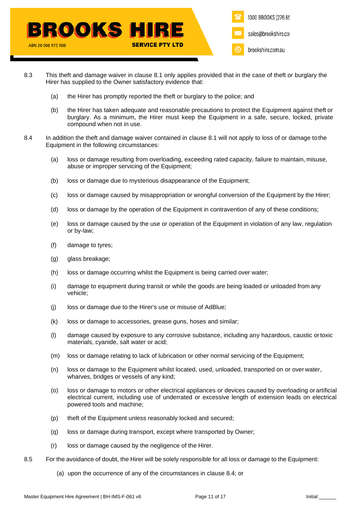

- 8.3 This theft and damage waiver in clause [8.1](#page-9-1) only applies provided that in the case of theft or burglary the Hirer has supplied to the Owner satisfactory evidence that:
	- (a) the Hirer has promptly reported the theft or burglary to the police; and
	- (b) the Hirer has taken adequate and reasonable precautions to protect the Equipment against theft or burglary. As a minimum, the Hirer must keep the Equipment in a safe, secure, locked, private compound when not in use.
- 8.4 In addition the theft and damage waiver contained in clause [8.1](#page-9-1) will not apply to loss of or damage to the Equipment in the following circumstances:
	- (a) loss or damage resulting from overloading, exceeding rated capacity, failure to maintain, misuse, abuse or improper servicing of the Equipment:
	- (b) loss or damage due to mysterious disappearance of the Equipment;
	- (c) loss or damage caused by misappropriation or wrongful conversion of the Equipment by the Hirer;
	- (d) loss or damage by the operation of the Equipment in contravention of any of these conditions;
	- (e) loss or damage caused by the use or operation of the Equipment in violation of any law, regulation or by-law;
	- (f) damage to tyres;
	- (g) glass breakage;
	- (h) loss or damage occurring whilst the Equipment is being carried over water;
	- (i) damage to equipment during transit or while the goods are being loaded or unloaded from any vehicle;
	- (j) loss or damage due to the Hirer's use or misuse of AdBlue;
	- (k) loss or damage to accessories, grease guns, hoses and similar;
	- (l) damage caused by exposure to any corrosive substance, including any hazardous, caustic ortoxic materials, cyanide, salt water or acid;
	- (m) loss or damage relating to lack of lubrication or other normal servicing of the Equipment;
	- (n) loss or damage to the Equipment whilst located, used, unloaded, transported on or over water, wharves, bridges or vessels of any kind;
	- (o) loss or damage to motors or other electrical appliances or devices caused by overloading or artificial electrical current, including use of underrated or excessive length of extension leads on electrical powered tools and machine;
	- (p) theft of the Equipment unless reasonably locked and secured;
	- (q) loss or damage during transport, except where transported by Owner;
	- (r) loss or damage caused by the negligence of the Hirer.
- 8.5 For the avoidance of doubt, the Hirer will be solely responsible for all loss or damage to the Equipment:
	- (a) upon the occurrence of any of the circumstances in clause 8.4; or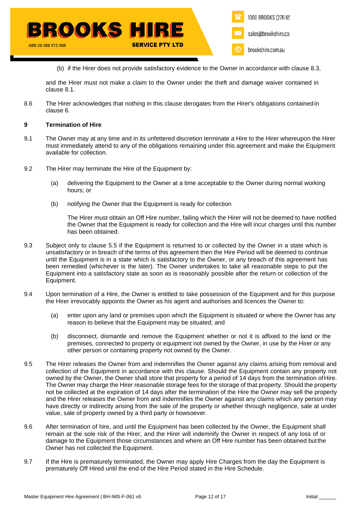(b) if the Hirer does not provide satisfactory evidence to the Owner in accordance with clause 8.3,

and the Hirer must not make a claim to the Owner under the theft and damage waiver contained in clause 8.1.

8.6 The Hirer acknowledges that nothing in this clause derogates from the Hirer's obligations contained in clause [6.](#page-7-1)

### <span id="page-11-0"></span>**9 Termination of Hire**

- 9.1 The Owner may at any time and in its unfettered discretion terminate a Hire to the Hirer whereupon the Hirer must immediately attend to any of the obligations remaining under this agreement and make the Equipment available for collection.
- 9.2 The Hirer may terminate the Hire of the Equipment by:
	- (a) delivering the Equipment to the Owner at a time acceptable to the Owner during normal working hours; or
	- (b) notifying the Owner that the Equipment is ready for collection

The Hirer must obtain an Off Hire number, failing which the Hirer will not be deemed to have notified the Owner that the Equipment is ready for collection and the Hire will incur charges until this number has been obtained.

- 9.3 Subject only to clause [5.5](#page-7-2) if the Equipment is returned to or collected by the Owner in a state which is unsatisfactory or in breach of the terms of this agreement then the Hire Period will be deemed to continue until the Equipment is in a state which is satisfactory to the Owner, or any breach of this agreement has been remedied (whichever is the later). The Owner undertakes to take all reasonable steps to put the Equipment into a satisfactory state as soon as is reasonably possible after the return or collection of the Equipment.
- 9.4 Upon termination of a Hire, the Owner is entitled to take possession of the Equipment and for this purpose the Hirer irrevocably appoints the Owner as his agent and authorises and licences the Owner to:
	- (a) enter upon any land or premises upon which the Equipment is situated or where the Owner has any reason to believe that the Equipment may be situated; and
	- (b) disconnect, dismantle and remove the Equipment whether or not it is affixed to the land or the premises, connected to property or equipment not owned by the Owner, in use by the Hirer or any other person or containing property not owned by the Owner.
- 9.5 The Hirer releases the Owner from and indemnifies the Owner against any claims arising from removal and collection of the Equipment in accordance with this clause. Should the Equipment contain any property not owned by the Owner, the Owner shall store that property for a period of 14 days from the termination ofHire. The Owner may charge the Hirer reasonable storage fees for the storage of that property. Should the property not be collected at the expiration of 14 days after the termination of the Hire the Owner may sell the property and the Hirer releases the Owner from and indemnifies the Owner against any claims which any person may have directly or indirectly arising from the sale of the property or whether through negligence, sale at under value, sale of property owned by a third party or howsoever.
- 9.6 After termination of hire, and until the Equipment has been collected by the Owner, the Equipment shall remain at the sole risk of the Hirer, and the Hirer will indemnify the Owner in respect of any loss of or damage to the Equipment those circumstances and where an Off Hire number has been obtained butthe Owner has not collected the Equipment.
- 9.7 If the Hire is prematurely terminated, the Owner may apply Hire Charges from the day the Equipment is prematurely Off Hired until the end of the Hire Period stated in the Hire Schedule.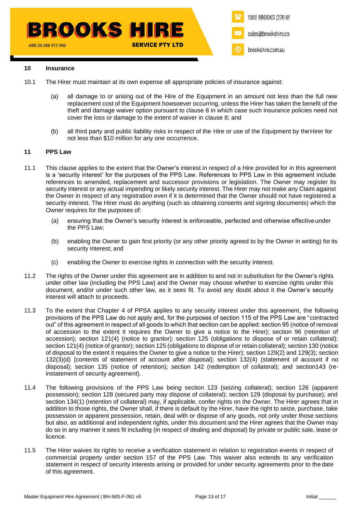### **10 Insurance**

- 10.1 The Hirer must maintain at its own expense all appropriate policies of insurance against:
	- (a) all damage to or arising out of the Hire of the Equipment in an amount not less than the full new replacement cost of the Equipment howsoever occurring, unless the Hirer has taken the benefit of the theft and damage waiver option pursuant to clause [8](#page-9-2) in which case such insurance policies need not cover the loss or damage to the extent of waiver in clause [8;](#page-9-2) and
	- (b) all third party and public liability risks in respect of the Hire or use of the Equipment by theHirer for not less than \$10 million for any one occurrence.

### **11 PPS Law**

- 11.1 This clause applies to the extent that the Owner's interest in respect of a Hire provided for in this agreement is a 'security interest' for the purposes of the PPS Law. References to PPS Law in this agreement include references to amended, replacement and successor provisions or legislation. The Owner may register its security interest or any actual impending or likely security interest. The Hirer may not make any Claim against the Owner in respect of any registration even if it is determined that the Owner should not have registered a security interest. The Hirer must do anything (such as obtaining consents and signing documents) which the Owner requires for the purposes of:
	- (a) ensuring that the Owner's security interest is enforceable, perfected and otherwise effective under the PPS Law;
	- (b) enabling the Owner to gain first priority (or any other priority agreed to by the Owner in writing) for its security interest; and
	- (c) enabling the Owner to exercise rights in connection with the security interest.
- 11.2 The rights of the Owner under this agreement are in addition to and not in substitution for the Owner's rights under other law (including the PPS Law) and the Owner may choose whether to exercise rights under this document, and/or under such other law, as it sees fit. To avoid any doubt about it the Owner's security interest will attach to proceeds.
- 11.3 To the extent that Chapter 4 of PPSA applies to any security interest under this agreement, the following provisions of the PPS Law do not apply and, for the purposes of section 115 of the PPS Law are "contracted out" of this agreement in respect of all goods to which that section can be applied: section 95 (notice of removal of accession to the extent it requires the Owner to give a notice to the Hirer); section 96 (retention of accession); section 121(4) (notice to grantor); section 125 (obligations to dispose of or retain collateral); section 121(4) (notice of grantor); section 125 (obligations to dispose of or retain collateral); section 130 (notice of disposal to the extent it requires the Owner to give a notice to the Hirer); section 129(2) and 129(3); section 132(3)(d) (contents of statement of account after disposal); section 132(4) (statement of account if no disposal); section 135 (notice of retention); section 142 (redemption of collateral); and section143 (reinstatement of security agreement).
- 11.4 The following provisions of the PPS Law being section 123 (seizing collateral); section 126 (apparent possession); section 128 (secured party may dispose of collateral); section 129 (disposal by purchase); and section 134(1) (retention of collateral) may, if applicable, confer rights on the Owner. The Hirer agrees that in addition to those rights, the Owner shall, if there is default by the Hirer, have the right to seize, purchase, take possession or apparent possession, retain, deal with or dispose of any goods, not only under those sections but also, as additional and independent rights, under this document and the Hirer agrees that the Owner may do so in any manner it sees fit including (in respect of dealing and disposal) by private or public sale, lease or licence.
- 11.5 The Hirer waives its rights to receive a verification statement in relation to registration events in respect of commercial property under section 157 of the PPS Law. This waiver also extends to any verification statement in respect of security interests arising or provided for under security agreements prior to the date of this agreement.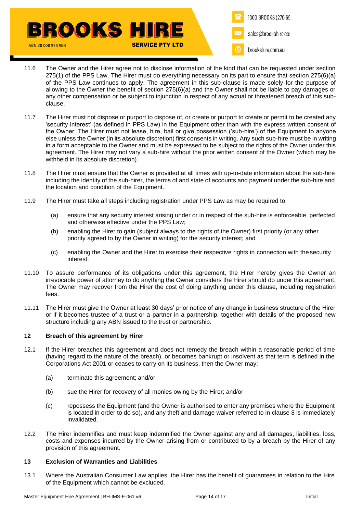

- 11.6 The Owner and the Hirer agree not to disclose information of the kind that can be requested under section 275(1) of the PPS Law. The Hirer must do everything necessary on its part to ensure that section 275(6)(a) of the PPS Law continues to apply. The agreement in this sub-clause is made solely for the purpose of allowing to the Owner the benefit of section 275(6)(a) and the Owner shall not be liable to pay damages or any other compensation or be subject to injunction in respect of any actual or threatened breach of this subclause.
- 11.7 The Hirer must not dispose or purport to dispose of, or create or purport to create or permit to be created any 'security interest' (as defined in PPS Law) in the Equipment other than with the express written consent of the Owner. The Hirer must not lease, hire, bail or give possession ('sub-hire') of the Equipment to anyone else unless the Owner (in its absolute discretion) first consents in writing. Any such sub-hire must be in writing in a form acceptable to the Owner and must be expressed to be subject to the rights of the Owner under this agreement. The Hirer may not vary a sub-hire without the prior written consent of the Owner (which may be withheld in its absolute discretion).
- 11.8 The Hirer must ensure that the Owner is provided at all times with up-to-date information about the sub-hire including the identity of the sub-hirer, the terms of and state of accounts and payment under the sub-hire and the location and condition of the Equipment.
- 11.9 The Hirer must take all steps including registration under PPS Law as may be required to:
	- (a) ensure that any security interest arising under or in respect of the sub-hire is enforceable, perfected and otherwise effective under the PPS Law;
	- (b) enabling the Hirer to gain (subject always to the rights of the Owner) first priority (or any other priority agreed to by the Owner in writing) for the security interest; and
	- (c) enabling the Owner and the Hirer to exercise their respective rights in connection with the security interest.
- 11.10 To assure performance of its obligations under this agreement, the Hirer hereby gives the Owner an irrevocable power of attorney to do anything the Owner considers the Hirer should do under this agreement. The Owner may recover from the Hirer the cost of doing anything under this clause, including registration fees.
- 11.11 The Hirer must give the Owner at least 30 days' prior notice of any change in business structure of the Hirer or if it becomes trustee of a trust or a partner in a partnership, together with details of the proposed new structure including any ABN issued to the trust or partnership.

# **12 Breach of this agreement by Hirer**

- 12.1 If the Hirer breaches this agreement and does not remedy the breach within a reasonable period of time (having regard to the nature of the breach), or becomes bankrupt or insolvent as that term is defined in the Corporations Act 2001 or ceases to carry on its business, then the Owner may:
	- (a) terminate this agreement; and/or
	- (b) sue the Hirer for recovery of all monies owing by the Hirer; and/or
	- (c) repossess the Equipment (and the Owner is authorised to enter any premises where the Equipment is located in order to do so), and any theft and damage waiver referred to in clause [8](#page-9-2) is immediately invalidated.
- 12.2 The Hirer indemnifies and must keep indemnified the Owner against any and all damages, liabilities, loss, costs and expenses incurred by the Owner arising from or contributed to by a breach by the Hirer of any provision of this agreement.

### **13 Exclusion of Warranties and Liabilities**

13.1 Where the Australian Consumer Law applies, the Hirer has the benefit of guarantees in relation to the Hire of the Equipment which cannot be excluded.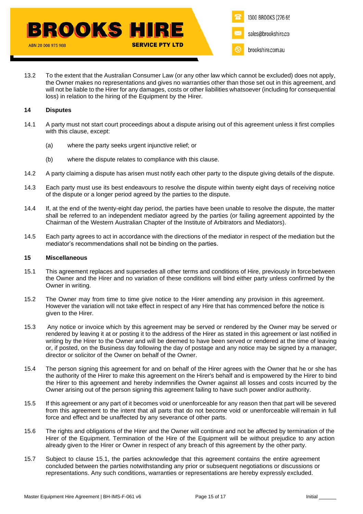13.2 To the extent that the Australian Consumer Law (or any other law which cannot be excluded) does not apply, the Owner makes no representations and gives no warranties other than those set out in this agreement, and will not be liable to the Hirer for any damages, costs or other liabilities whatsoever (including for consequential loss) in relation to the hiring of the Equipment by the Hirer.

## **14 Disputes**

- 14.1 A party must not start court proceedings about a dispute arising out of this agreement unless it first complies with this clause, except:
	- (a) where the party seeks urgent injunctive relief; or
	- (b) where the dispute relates to compliance with this clause.
- 14.2 A party claiming a dispute has arisen must notify each other party to the dispute giving details of the dispute.
- 14.3 Each party must use its best endeavours to resolve the dispute within twenty eight days of receiving notice of the dispute or a longer period agreed by the parties to the dispute.
- 14.4 If, at the end of the twenty-eight day period, the parties have been unable to resolve the dispute, the matter shall be referred to an independent mediator agreed by the parties (or failing agreement appointed by the Chairman of the Western Australian Chapter of the Institute of Arbitrators and Mediators).
- 14.5 Each party agrees to act in accordance with the directions of the mediator in respect of the mediation but the mediator's recommendations shall not be binding on the parties.

### **15 Miscellaneous**

- <span id="page-14-0"></span>15.1 This agreement replaces and supersedes all other terms and conditions of Hire, previously in forcebetween the Owner and the Hirer and no variation of these conditions will bind either party unless confirmed by the Owner in writing.
- 15.2 The Owner may from time to time give notice to the Hirer amending any provision in this agreement. However the variation will not take effect in respect of any Hire that has commenced before the notice is given to the Hirer.
- 15.3 Any notice or invoice which by this agreement may be served or rendered by the Owner may be served or rendered by leaving it at or posting it to the address of the Hirer as stated in this agreement or last notified in writing by the Hirer to the Owner and will be deemed to have been served or rendered at the time of leaving or, if posted, on the Business day following the day of postage and any notice may be signed by a manager, director or solicitor of the Owner on behalf of the Owner.
- 15.4 The person signing this agreement for and on behalf of the Hirer agrees with the Owner that he or she has the authority of the Hirer to make this agreement on the Hirer's behalf and is empowered by the Hirer to bind the Hirer to this agreement and hereby indemnifies the Owner against all losses and costs incurred by the Owner arising out of the person signing this agreement failing to have such power and/or authority.
- 15.5 If this agreement or any part of it becomes void or unenforceable for any reason then that part will be severed from this agreement to the intent that all parts that do not become void or unenforceable will remain in full force and effect and be unaffected by any severance of other parts.
- 15.6 The rights and obligations of the Hirer and the Owner will continue and not be affected by termination of the Hirer of the Equipment. Termination of the Hire of the Equipment will be without prejudice to any action already given to the Hirer or Owner in respect of any breach of this agreement by the other party.
- 15.7 Subject to clause [15.1,](#page-14-0) the parties acknowledge that this agreement contains the entire agreement concluded between the parties notwithstanding any prior or subsequent negotiations or discussions or representations. Any such conditions, warranties or representations are hereby expressly excluded.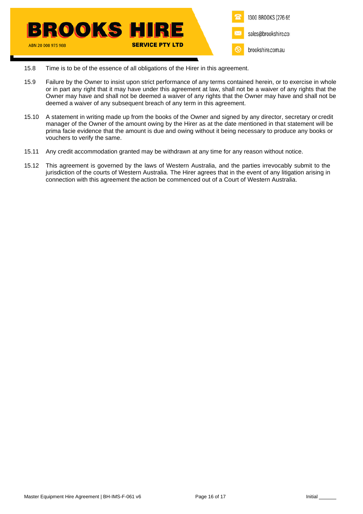

- 15.8 Time is to be of the essence of all obligations of the Hirer in this agreement.
- 15.9 Failure by the Owner to insist upon strict performance of any terms contained herein, or to exercise in whole or in part any right that it may have under this agreement at law, shall not be a waiver of any rights that the Owner may have and shall not be deemed a waiver of any rights that the Owner may have and shall not be deemed a waiver of any subsequent breach of any term in this agreement.
- 15.10 A statement in writing made up from the books of the Owner and signed by any director, secretary or credit manager of the Owner of the amount owing by the Hirer as at the date mentioned in that statement will be prima facie evidence that the amount is due and owing without it being necessary to produce any books or vouchers to verify the same.
- 15.11 Any credit accommodation granted may be withdrawn at any time for any reason without notice.
- 15.12 This agreement is governed by the laws of Western Australia, and the parties irrevocably submit to the jurisdiction of the courts of Western Australia. The Hirer agrees that in the event of any litigation arising in connection with this agreement the action be commenced out of a Court of Western Australia.